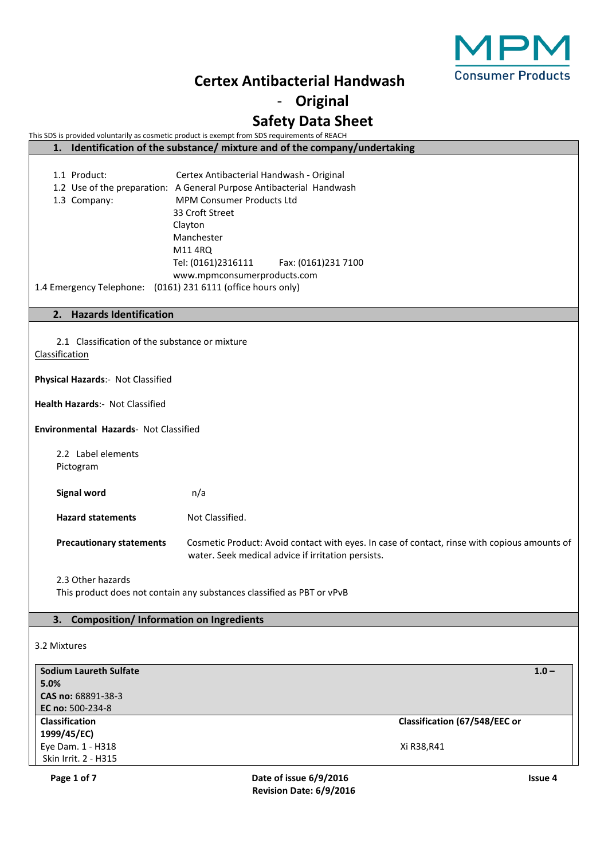

- **Original**

# **Safety Data Sheet**

This SDS is provided voluntarily as cosmetic product is exempt from SDS requirements of REACH

| 1. Identification of the substance/ mixture and of the company/undertaking                            |                                                                                                                                                                                                                                                                                         |                               |  |
|-------------------------------------------------------------------------------------------------------|-----------------------------------------------------------------------------------------------------------------------------------------------------------------------------------------------------------------------------------------------------------------------------------------|-------------------------------|--|
| 1.1 Product:<br>1.3 Company:<br>1.4 Emergency Telephone: (0161) 231 6111 (office hours only)          | Certex Antibacterial Handwash - Original<br>1.2 Use of the preparation: A General Purpose Antibacterial Handwash<br><b>MPM Consumer Products Ltd</b><br>33 Croft Street<br>Clayton<br>Manchester<br>M11 4RQ<br>Tel: (0161)2316111<br>Fax: (0161)231 7100<br>www.mpmconsumerproducts.com |                               |  |
| <b>Hazards Identification</b><br>2.                                                                   |                                                                                                                                                                                                                                                                                         |                               |  |
| 2.1 Classification of the substance or mixture<br>Classification<br>Physical Hazards:- Not Classified |                                                                                                                                                                                                                                                                                         |                               |  |
|                                                                                                       |                                                                                                                                                                                                                                                                                         |                               |  |
| Health Hazards:- Not Classified                                                                       |                                                                                                                                                                                                                                                                                         |                               |  |
| <b>Environmental Hazards- Not Classified</b>                                                          |                                                                                                                                                                                                                                                                                         |                               |  |
| 2.2 Label elements<br>Pictogram                                                                       |                                                                                                                                                                                                                                                                                         |                               |  |
| <b>Signal word</b>                                                                                    | n/a                                                                                                                                                                                                                                                                                     |                               |  |
| <b>Hazard statements</b>                                                                              | Not Classified.                                                                                                                                                                                                                                                                         |                               |  |
| <b>Precautionary statements</b>                                                                       | Cosmetic Product: Avoid contact with eyes. In case of contact, rinse with copious amounts of<br>water. Seek medical advice if irritation persists.                                                                                                                                      |                               |  |
|                                                                                                       |                                                                                                                                                                                                                                                                                         |                               |  |
| 2.3 Other hazards<br>This product does not contain any substances classified as PBT or vPvB           |                                                                                                                                                                                                                                                                                         |                               |  |
| 3. Composition/Information on Ingredients                                                             |                                                                                                                                                                                                                                                                                         |                               |  |
|                                                                                                       |                                                                                                                                                                                                                                                                                         |                               |  |
| 3.2 Mixtures                                                                                          |                                                                                                                                                                                                                                                                                         |                               |  |
| <b>Sodium Laureth Sulfate</b>                                                                         |                                                                                                                                                                                                                                                                                         | $1.0 -$                       |  |
| 5.0%                                                                                                  |                                                                                                                                                                                                                                                                                         |                               |  |
| CAS no: 68891-38-3<br>EC no: 500-234-8                                                                |                                                                                                                                                                                                                                                                                         |                               |  |
| <b>Classification</b>                                                                                 |                                                                                                                                                                                                                                                                                         | Classification (67/548/EEC or |  |
| 1999/45/EC)                                                                                           |                                                                                                                                                                                                                                                                                         |                               |  |
| Eye Dam. 1 - H318                                                                                     |                                                                                                                                                                                                                                                                                         | Xi R38, R41                   |  |
| Skin Irrit. 2 - H315                                                                                  |                                                                                                                                                                                                                                                                                         |                               |  |
| Page 1 of 7                                                                                           | Date of issue 6/9/2016                                                                                                                                                                                                                                                                  | Issue 4                       |  |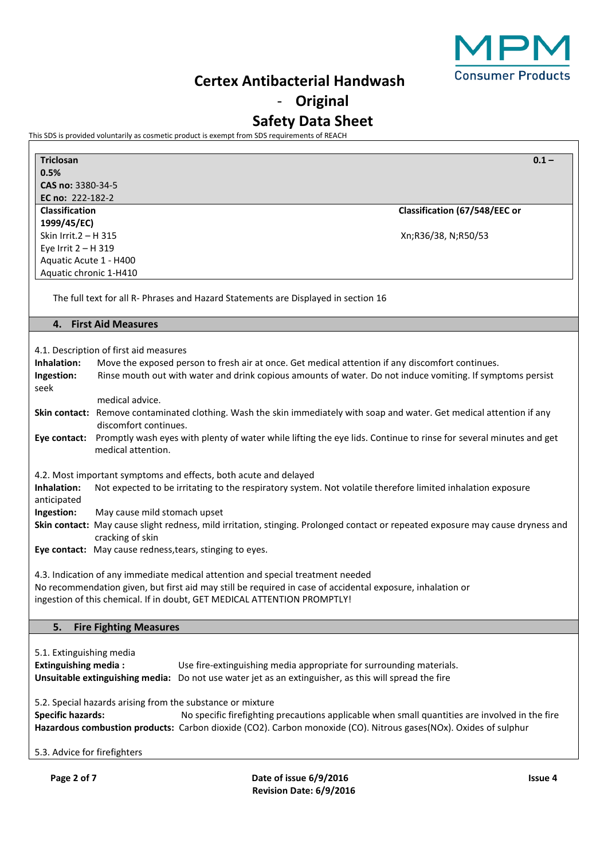

# - **Original**

# **Safety Data Sheet**

This SDS is provided voluntarily as cosmetic product is exempt from SDS requirements of REACH

| <b>Triclosan</b>                                                                                                        | $0.1 -$                                                                                                                         |  |
|-------------------------------------------------------------------------------------------------------------------------|---------------------------------------------------------------------------------------------------------------------------------|--|
| 0.5%                                                                                                                    |                                                                                                                                 |  |
| CAS no: 3380-34-5                                                                                                       |                                                                                                                                 |  |
| EC no: 222-182-2                                                                                                        |                                                                                                                                 |  |
| <b>Classification</b>                                                                                                   | Classification (67/548/EEC or                                                                                                   |  |
| 1999/45/EC)<br>Skin Irrit.2 - H 315                                                                                     |                                                                                                                                 |  |
|                                                                                                                         | Xn;R36/38, N;R50/53                                                                                                             |  |
| Eye Irrit 2 - H 319<br>Aquatic Acute 1 - H400                                                                           |                                                                                                                                 |  |
| Aquatic chronic 1-H410                                                                                                  |                                                                                                                                 |  |
|                                                                                                                         |                                                                                                                                 |  |
| The full text for all R- Phrases and Hazard Statements are Displayed in section 16                                      |                                                                                                                                 |  |
| 4. First Aid Measures                                                                                                   |                                                                                                                                 |  |
|                                                                                                                         |                                                                                                                                 |  |
| 4.1. Description of first aid measures                                                                                  |                                                                                                                                 |  |
| Inhalation:                                                                                                             | Move the exposed person to fresh air at once. Get medical attention if any discomfort continues.                                |  |
| Ingestion:                                                                                                              | Rinse mouth out with water and drink copious amounts of water. Do not induce vomiting. If symptoms persist                      |  |
| seek                                                                                                                    |                                                                                                                                 |  |
| medical advice.                                                                                                         |                                                                                                                                 |  |
| Skin contact: Remove contaminated clothing. Wash the skin immediately with soap and water. Get medical attention if any |                                                                                                                                 |  |
| discomfort continues.                                                                                                   |                                                                                                                                 |  |
|                                                                                                                         | Eye contact: Promptly wash eyes with plenty of water while lifting the eye lids. Continue to rinse for several minutes and get  |  |
| medical attention.                                                                                                      |                                                                                                                                 |  |
| 4.2. Most important symptoms and effects, both acute and delayed<br>Inhalation:                                         | Not expected to be irritating to the respiratory system. Not volatile therefore limited inhalation exposure                     |  |
| anticipated                                                                                                             |                                                                                                                                 |  |
| Ingestion:<br>May cause mild stomach upset                                                                              |                                                                                                                                 |  |
|                                                                                                                         | Skin contact: May cause slight redness, mild irritation, stinging. Prolonged contact or repeated exposure may cause dryness and |  |
| cracking of skin                                                                                                        |                                                                                                                                 |  |
| Eye contact: May cause redness, tears, stinging to eyes.                                                                |                                                                                                                                 |  |
|                                                                                                                         |                                                                                                                                 |  |
| 4.3. Indication of any immediate medical attention and special treatment needed                                         |                                                                                                                                 |  |
| No recommendation given, but first aid may still be required in case of accidental exposure, inhalation or              |                                                                                                                                 |  |
| ingestion of this chemical. If in doubt, GET MEDICAL ATTENTION PROMPTLY!                                                |                                                                                                                                 |  |
|                                                                                                                         |                                                                                                                                 |  |
| 5.<br><b>Fire Fighting Measures</b>                                                                                     |                                                                                                                                 |  |
|                                                                                                                         |                                                                                                                                 |  |
| 5.1. Extinguishing media                                                                                                |                                                                                                                                 |  |
| <b>Extinguishing media:</b>                                                                                             | Use fire-extinguishing media appropriate for surrounding materials.                                                             |  |
| Unsuitable extinguishing media: Do not use water jet as an extinguisher, as this will spread the fire                   |                                                                                                                                 |  |
|                                                                                                                         |                                                                                                                                 |  |
| 5.2. Special hazards arising from the substance or mixture                                                              |                                                                                                                                 |  |
| <b>Specific hazards:</b>                                                                                                | No specific firefighting precautions applicable when small quantities are involved in the fire                                  |  |
| Hazardous combustion products: Carbon dioxide (CO2). Carbon monoxide (CO). Nitrous gases(NOx). Oxides of sulphur        |                                                                                                                                 |  |
|                                                                                                                         |                                                                                                                                 |  |
| 5.3. Advice for firefighters                                                                                            |                                                                                                                                 |  |
| Page 2 of 7                                                                                                             | Date of issue 6/9/2016<br><b>Issue 4</b>                                                                                        |  |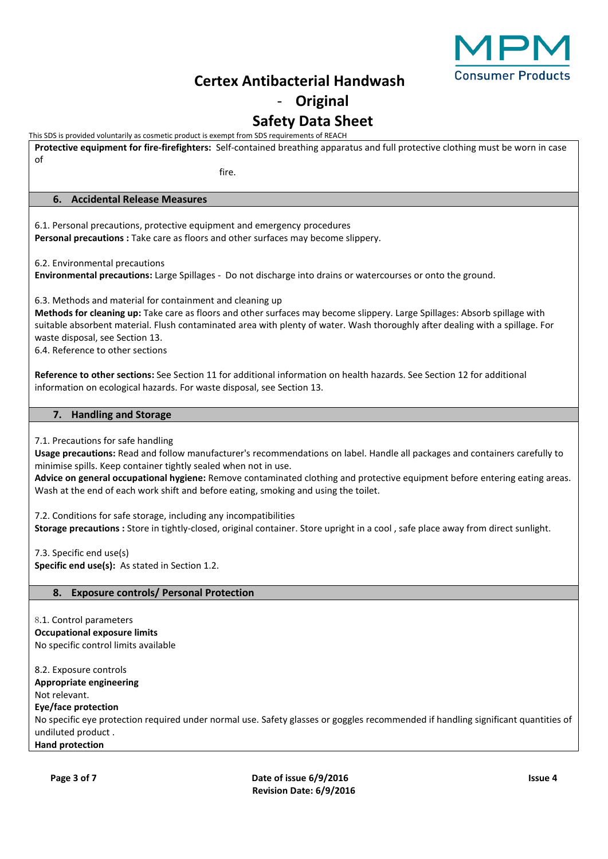

# - **Original**

## **Safety Data Sheet**

This SDS is provided voluntarily as cosmetic product is exempt from SDS requirements of REACH

**Protective equipment for fire-firefighters:** Self-contained breathing apparatus and full protective clothing must be worn in case of fire. **6. Accidental Release Measures** 6.1. Personal precautions, protective equipment and emergency procedures **Personal precautions :** Take care as floors and other surfaces may become slippery. 6.2. Environmental precautions **Environmental precautions:** Large Spillages - Do not discharge into drains or watercourses or onto the ground. 6.3. Methods and material for containment and cleaning up **Methods for cleaning up:** Take care as floors and other surfaces may become slippery. Large Spillages: Absorb spillage with suitable absorbent material. Flush contaminated area with plenty of water. Wash thoroughly after dealing with a spillage. For waste disposal, see Section 13. 6.4. Reference to other sections **Reference to other sections:** See Section 11 for additional information on health hazards. See Section 12 for additional information on ecological hazards. For waste disposal, see Section 13. **7. Handling and Storage** 7.1. Precautions for safe handling **Usage precautions:** Read and follow manufacturer's recommendations on label. Handle all packages and containers carefully to minimise spills. Keep container tightly sealed when not in use. **Advice on general occupational hygiene:** Remove contaminated clothing and protective equipment before entering eating areas. Wash at the end of each work shift and before eating, smoking and using the toilet. 7.2. Conditions for safe storage, including any incompatibilities **Storage precautions :** Store in tightly-closed, original container. Store upright in a cool , safe place away from direct sunlight. 7.3. Specific end use(s) **Specific end use(s):** As stated in Section 1.2. **8. Exposure controls/ Personal Protection** 8.1. Control parameters **Occupational exposure limits** No specific control limits available 8.2. Exposure controls **Appropriate engineering** Not relevant. **Eye/face protection** No specific eye protection required under normal use. Safety glasses or goggles recommended if handling significant quantities of undiluted product . **Hand protection**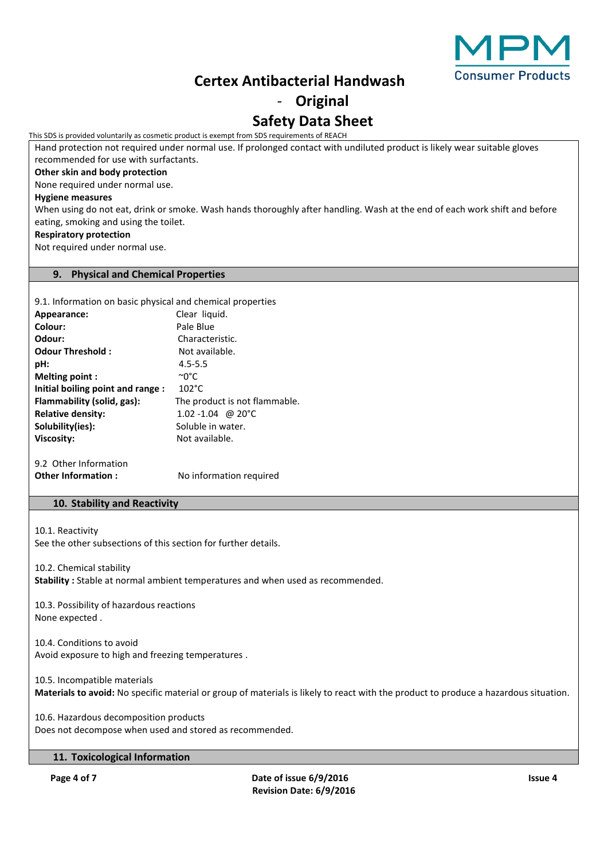

### - **Original**

# **Safety Data Sheet**

This SDS is provided voluntarily as cosmetic product is exempt from SDS requirements of REACH

Hand protection not required under normal use. If prolonged contact with undiluted product is likely wear suitable gloves recommended for use with surfactants.

### **Other skin and body protection**

None required under normal use.

### **Hygiene measures**

When using do not eat, drink or smoke. Wash hands thoroughly after handling. Wash at the end of each work shift and before eating, smoking and using the toilet.

### **Respiratory protection**

Not required under normal use.

### **9. Physical and Chemical Properties**

| 9.1. Information on basic physical and chemical properties |                               |
|------------------------------------------------------------|-------------------------------|
| Appearance:                                                | Clear liquid.                 |
| Colour:                                                    | Pale Blue                     |
| Odour:                                                     | Characteristic.               |
| Odour Threshold:                                           | Not available.                |
| pH:                                                        | $4.5 - 5.5$                   |
| <b>Melting point:</b>                                      | ∼0°C                          |
| Initial boiling point and range :                          | $102^{\circ}$ C               |
| Flammability (solid, gas):                                 | The product is not flammable. |
| <b>Relative density:</b>                                   | $1.02 - 1.04$ @ 20°C          |
| Solubility(ies):                                           | Soluble in water.             |
| <b>Viscosity:</b>                                          | Not available.                |
|                                                            |                               |

9.2 Other Information **Other Information :** No information required

### **10. Stability and Reactivity**

10.1. Reactivity See the other subsections of this section for further details.

10.2. Chemical stability **Stability :** Stable at normal ambient temperatures and when used as recommended.

10.3. Possibility of hazardous reactions None expected .

10.4. Conditions to avoid Avoid exposure to high and freezing temperatures .

10.5. Incompatible materials **Materials to avoid:** No specific material or group of materials is likely to react with the product to produce a hazardous situation.

10.6. Hazardous decomposition products Does not decompose when used and stored as recommended.

### **11. Toxicological Information**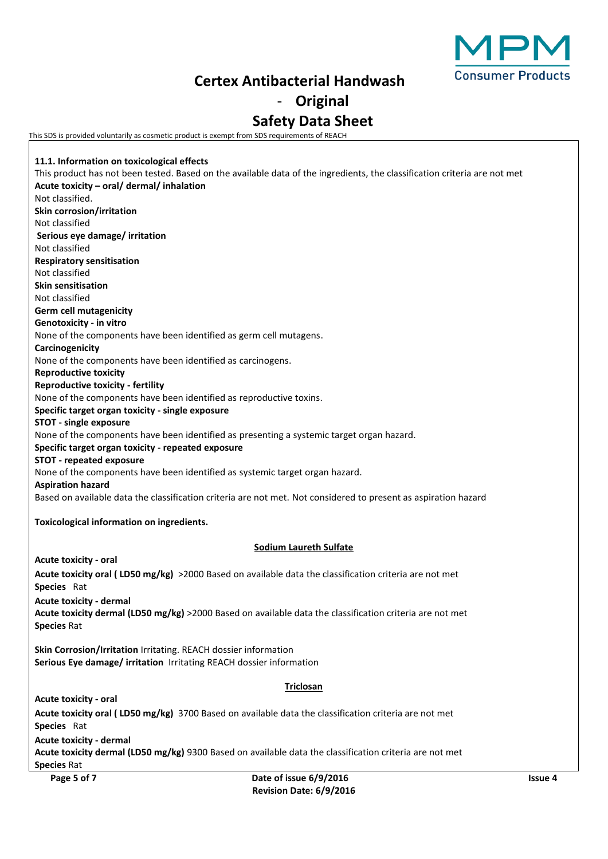

# - **Original**

### **Safety Data Sheet**

This SDS is provided voluntarily as cosmetic product is exempt from SDS requirements of REACH

**Page 5 of 7 Date of issue 6/9/2016 Issue 4 11.1. Information on toxicological effects** This product has not been tested. Based on the available data of the ingredients, the classification criteria are not met **Acute toxicity – oral/ dermal/ inhalation** Not classified. **Skin corrosion/irritation** Not classified **Serious eye damage/ irritation** Not classified **Respiratory sensitisation** Not classified **Skin sensitisation** Not classified **Germ cell mutagenicity Genotoxicity - in vitro** None of the components have been identified as germ cell mutagens. **Carcinogenicity** None of the components have been identified as carcinogens. **Reproductive toxicity Reproductive toxicity - fertility** None of the components have been identified as reproductive toxins. **Specific target organ toxicity - single exposure STOT - single exposure** None of the components have been identified as presenting a systemic target organ hazard. **Specific target organ toxicity - repeated exposure STOT - repeated exposure** None of the components have been identified as systemic target organ hazard. **Aspiration hazard** Based on available data the classification criteria are not met. Not considered to present as aspiration hazard **Toxicological information on ingredients. Sodium Laureth Sulfate Acute toxicity - oral Acute toxicity oral ( LD50 mg/kg)** >2000 Based on available data the classification criteria are not met **Species** Rat **Acute toxicity - dermal Acute toxicity dermal (LD50 mg/kg)** >2000 Based on available data the classification criteria are not met **Species** Rat **Skin Corrosion/Irritation** Irritating. REACH dossier information **Serious Eye damage/ irritation** Irritating REACH dossier information **Triclosan Acute toxicity - oral Acute toxicity oral ( LD50 mg/kg)** 3700 Based on available data the classification criteria are not met **Species** Rat **Acute toxicity - dermal Acute toxicity dermal (LD50 mg/kg)** 9300 Based on available data the classification criteria are not met **Species** Rat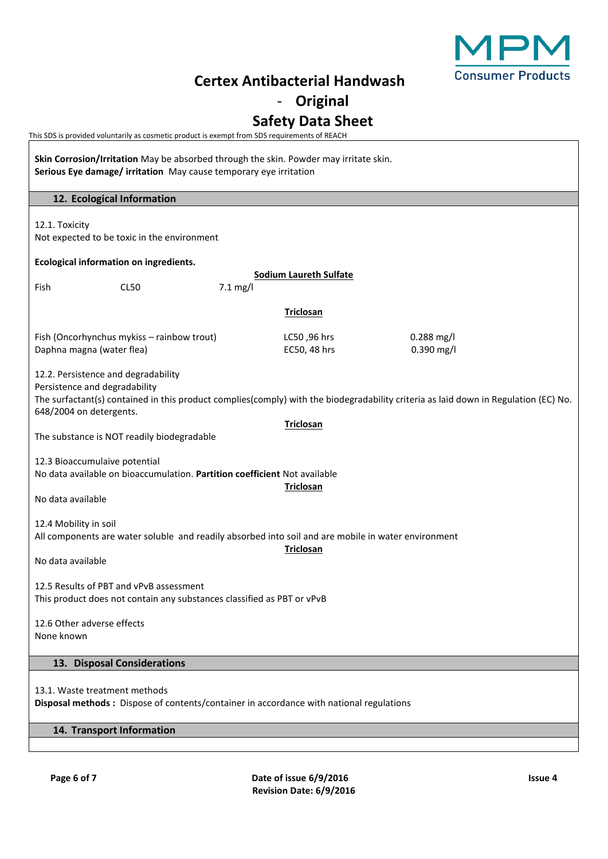

- **Original**

## **Safety Data Sheet**

This SDS is provided voluntarily as cosmetic product is exempt from SDS requirements of REACH

**Skin Corrosion/Irritation** May be absorbed through the skin. Powder may irritate skin. **Serious Eye damage/ irritation** May cause temporary eye irritation **12. Ecological Information** 12.1. Toxicity Not expected to be toxic in the environment **Ecological information on ingredients. Sodium Laureth Sulfate** Fish CL50 7.1 mg/l **Triclosan** Fish (Oncorhynchus mykiss – rainbow trout) LC50 ,96 hrs 0.288 mg/l Daphna magna (water flea) and the control of the EC50, 48 hrs control of the 0.390 mg/l 12.2. Persistence and degradability Persistence and degradability The surfactant(s) contained in this product complies(comply) with the biodegradability criteria as laid down in Regulation (EC) No. 648/2004 on detergents. **Triclosan** The substance is NOT readily biodegradable 12.3 Bioaccumulaive potential No data available on bioaccumulation. **Partition coefficient** Not available **Triclosan** No data available 12.4 Mobility in soil All components are water soluble and readily absorbed into soil and are mobile in water environment **Triclosan** No data available 12.5 Results of PBT and vPvB assessment This product does not contain any substances classified as PBT or vPvB 12.6 Other adverse effects None known **13. Disposal Considerations** 13.1. Waste treatment methods **Disposal methods :** Dispose of contents/container in accordance with national regulations **14. Transport Information**